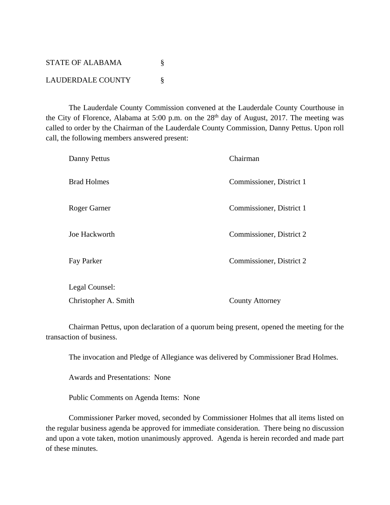STATE OF ALABAMA  $\S$ LAUDERDALE COUNTY §

 The Lauderdale County Commission convened at the Lauderdale County Courthouse in the City of Florence, Alabama at 5:00 p.m. on the  $28<sup>th</sup>$  day of August, 2017. The meeting was called to order by the Chairman of the Lauderdale County Commission, Danny Pettus. Upon roll call, the following members answered present:

| Danny Pettus         | Chairman                 |
|----------------------|--------------------------|
| <b>Brad Holmes</b>   | Commissioner, District 1 |
| Roger Garner         | Commissioner, District 1 |
| Joe Hackworth        | Commissioner, District 2 |
| Fay Parker           | Commissioner, District 2 |
| Legal Counsel:       |                          |
| Christopher A. Smith | <b>County Attorney</b>   |

 Chairman Pettus, upon declaration of a quorum being present, opened the meeting for the transaction of business.

The invocation and Pledge of Allegiance was delivered by Commissioner Brad Holmes.

Awards and Presentations: None

Public Comments on Agenda Items: None

 Commissioner Parker moved, seconded by Commissioner Holmes that all items listed on the regular business agenda be approved for immediate consideration. There being no discussion and upon a vote taken, motion unanimously approved. Agenda is herein recorded and made part of these minutes.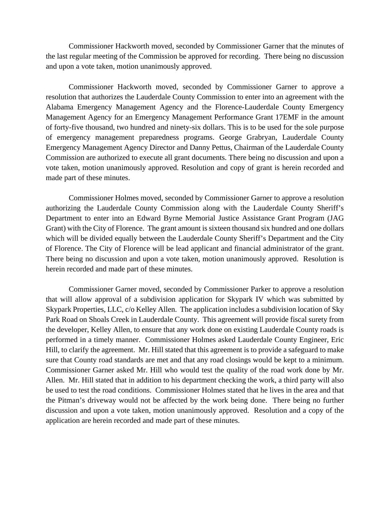Commissioner Hackworth moved, seconded by Commissioner Garner that the minutes of the last regular meeting of the Commission be approved for recording. There being no discussion and upon a vote taken, motion unanimously approved.

 Commissioner Hackworth moved, seconded by Commissioner Garner to approve a resolution that authorizes the Lauderdale County Commission to enter into an agreement with the Alabama Emergency Management Agency and the Florence-Lauderdale County Emergency Management Agency for an Emergency Management Performance Grant 17EMF in the amount of forty-five thousand, two hundred and ninety-six dollars. This is to be used for the sole purpose of emergency management preparedness programs. George Grabryan, Lauderdale County Emergency Management Agency Director and Danny Pettus, Chairman of the Lauderdale County Commission are authorized to execute all grant documents. There being no discussion and upon a vote taken, motion unanimously approved. Resolution and copy of grant is herein recorded and made part of these minutes.

 Commissioner Holmes moved, seconded by Commissioner Garner to approve a resolution authorizing the Lauderdale County Commission along with the Lauderdale County Sheriff's Department to enter into an Edward Byrne Memorial Justice Assistance Grant Program (JAG Grant) with the City of Florence. The grant amount is sixteen thousand six hundred and one dollars which will be divided equally between the Lauderdale County Sheriff's Department and the City of Florence. The City of Florence will be lead applicant and financial administrator of the grant. There being no discussion and upon a vote taken, motion unanimously approved. Resolution is herein recorded and made part of these minutes.

Commissioner Garner moved, seconded by Commissioner Parker to approve a resolution that will allow approval of a subdivision application for Skypark IV which was submitted by Skypark Properties, LLC, c/o Kelley Allen. The application includes a subdivision location of Sky Park Road on Shoals Creek in Lauderdale County. This agreement will provide fiscal surety from the developer, Kelley Allen, to ensure that any work done on existing Lauderdale County roads is performed in a timely manner. Commissioner Holmes asked Lauderdale County Engineer, Eric Hill, to clarify the agreement. Mr. Hill stated that this agreement is to provide a safeguard to make sure that County road standards are met and that any road closings would be kept to a minimum. Commissioner Garner asked Mr. Hill who would test the quality of the road work done by Mr. Allen. Mr. Hill stated that in addition to his department checking the work, a third party will also be used to test the road conditions. Commissioner Holmes stated that he lives in the area and that the Pitman's driveway would not be affected by the work being done. There being no further discussion and upon a vote taken, motion unanimously approved. Resolution and a copy of the application are herein recorded and made part of these minutes.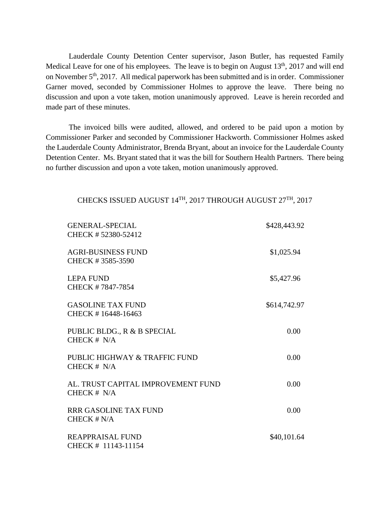Lauderdale County Detention Center supervisor, Jason Butler, has requested Family Medical Leave for one of his employees. The leave is to begin on August  $13<sup>th</sup>$ , 2017 and will end on November 5<sup>th</sup>, 2017. All medical paperwork has been submitted and is in order. Commissioner Garner moved, seconded by Commissioner Holmes to approve the leave. There being no discussion and upon a vote taken, motion unanimously approved. Leave is herein recorded and made part of these minutes.

The invoiced bills were audited, allowed, and ordered to be paid upon a motion by Commissioner Parker and seconded by Commissioner Hackworth. Commissioner Holmes asked the Lauderdale County Administrator, Brenda Bryant, about an invoice for the Lauderdale County Detention Center. Ms. Bryant stated that it was the bill for Southern Health Partners. There being no further discussion and upon a vote taken, motion unanimously approved.

## CHECKS ISSUED AUGUST 14TH, 2017 THROUGH AUGUST 27TH, 2017

| <b>GENERAL-SPECIAL</b><br>CHECK # 52380-52412       | \$428,443.92 |
|-----------------------------------------------------|--------------|
| <b>AGRI-BUSINESS FUND</b><br>CHECK #3585-3590       | \$1,025.94   |
| <b>LEPA FUND</b><br>CHECK #7847-7854                | \$5,427.96   |
| <b>GASOLINE TAX FUND</b><br>CHECK #16448-16463      | \$614,742.97 |
| PUBLIC BLDG., R & B SPECIAL<br>CHECK $# N/A$        | 0.00         |
| PUBLIC HIGHWAY & TRAFFIC FUND<br>CHECK $# N/A$      | 0.00         |
| AL. TRUST CAPITAL IMPROVEMENT FUND<br>CHECK $# N/A$ | 0.00         |
| <b>RRR GASOLINE TAX FUND</b><br>$CHECK$ # N/A       | 0.00         |
| REAPPRAISAL FUND<br>CHECK # 11143-11154             | \$40,101.64  |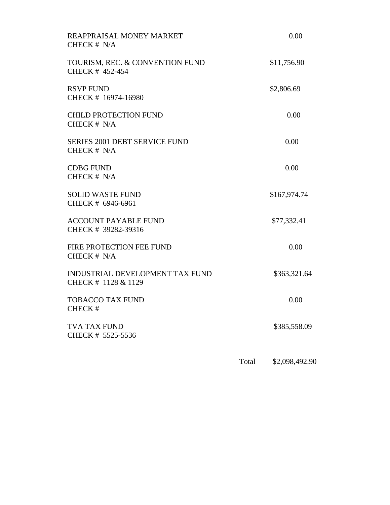| REAPPRAISAL MONEY MARKET<br>CHECK # N/A                |       | 0.00           |
|--------------------------------------------------------|-------|----------------|
| TOURISM, REC. & CONVENTION FUND<br>CHECK # 452-454     |       | \$11,756.90    |
| <b>RSVP FUND</b><br>CHECK # 16974-16980                |       | \$2,806.69     |
| <b>CHILD PROTECTION FUND</b><br>CHECK $# N/A$          |       | 0.00           |
| <b>SERIES 2001 DEBT SERVICE FUND</b><br>CHECK # N/A    |       | 0.00           |
| <b>CDBG FUND</b><br>CHECK # N/A                        |       | 0.00           |
| <b>SOLID WASTE FUND</b><br>CHECK # 6946-6961           |       | \$167,974.74   |
| <b>ACCOUNT PAYABLE FUND</b><br>CHECK # 39282-39316     |       | \$77,332.41    |
| FIRE PROTECTION FEE FUND<br>CHECK # N/A                |       | 0.00           |
| INDUSTRIAL DEVELOPMENT TAX FUND<br>CHECK # 1128 & 1129 |       | \$363,321.64   |
| <b>TOBACCO TAX FUND</b><br>CHECK#                      |       | 0.00           |
| <b>TVA TAX FUND</b><br>CHECK # 5525-5536               |       | \$385,558.09   |
|                                                        | Total | \$2,098,492.90 |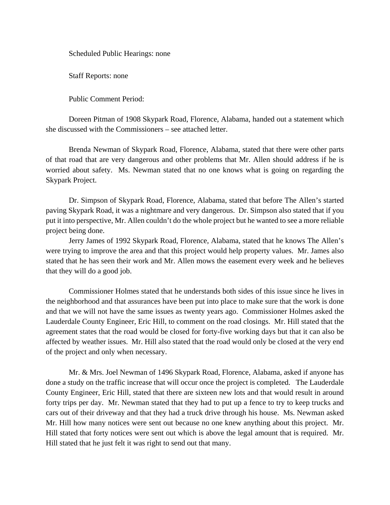Scheduled Public Hearings: none

Staff Reports: none

Public Comment Period:

Doreen Pitman of 1908 Skypark Road, Florence, Alabama, handed out a statement which she discussed with the Commissioners – see attached letter.

Brenda Newman of Skypark Road, Florence, Alabama, stated that there were other parts of that road that are very dangerous and other problems that Mr. Allen should address if he is worried about safety. Ms. Newman stated that no one knows what is going on regarding the Skypark Project.

Dr. Simpson of Skypark Road, Florence, Alabama, stated that before The Allen's started paving Skypark Road, it was a nightmare and very dangerous. Dr. Simpson also stated that if you put it into perspective, Mr. Allen couldn't do the whole project but he wanted to see a more reliable project being done.

Jerry James of 1992 Skypark Road, Florence, Alabama, stated that he knows The Allen's were trying to improve the area and that this project would help property values. Mr. James also stated that he has seen their work and Mr. Allen mows the easement every week and he believes that they will do a good job.

Commissioner Holmes stated that he understands both sides of this issue since he lives in the neighborhood and that assurances have been put into place to make sure that the work is done and that we will not have the same issues as twenty years ago. Commissioner Holmes asked the Lauderdale County Engineer, Eric Hill, to comment on the road closings. Mr. Hill stated that the agreement states that the road would be closed for forty-five working days but that it can also be affected by weather issues. Mr. Hill also stated that the road would only be closed at the very end of the project and only when necessary.

Mr. & Mrs. Joel Newman of 1496 Skypark Road, Florence, Alabama, asked if anyone has done a study on the traffic increase that will occur once the project is completed. The Lauderdale County Engineer, Eric Hill, stated that there are sixteen new lots and that would result in around forty trips per day. Mr. Newman stated that they had to put up a fence to try to keep trucks and cars out of their driveway and that they had a truck drive through his house. Ms. Newman asked Mr. Hill how many notices were sent out because no one knew anything about this project. Mr. Hill stated that forty notices were sent out which is above the legal amount that is required. Mr. Hill stated that he just felt it was right to send out that many.